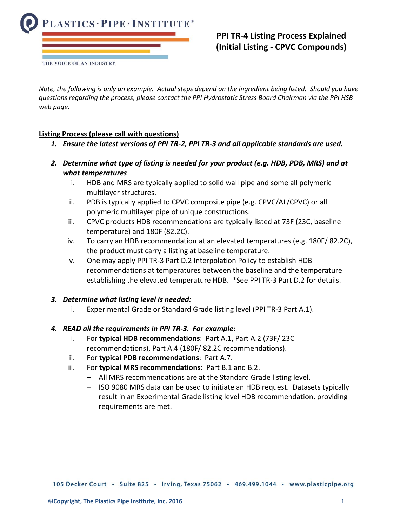

# **PPI TR-4 Listing Process Explained (Initial Listing - CPVC Compounds)**

*Note, the following is only an example. Actual steps depend on the ingredient being listed. Should you have questions regarding the process, please contact the PPI Hydrostatic Stress Board Chairman via the PPI HSB web page.*

## **Listing Process (please call with questions)**

- *1. Ensure the latest versions of PPI TR-2, PPI TR-3 and all applicable standards are used.*
- *2. Determine what type of listing is needed for your product (e.g. HDB, PDB, MRS) and at what temperatures*
	- i. HDB and MRS are typically applied to solid wall pipe and some all polymeric multilayer structures.
	- ii. PDB is typically applied to CPVC composite pipe (e.g. CPVC/AL/CPVC) or all polymeric multilayer pipe of unique constructions.
	- iii. CPVC products HDB recommendations are typically listed at 73F (23C, baseline temperature) and 180F (82.2C).
	- iv. To carry an HDB recommendation at an elevated temperatures (e.g. 180F/ 82.2C), the product must carry a listing at baseline temperature.
	- v. One may apply PPI TR-3 Part D.2 Interpolation Policy to establish HDB recommendations at temperatures between the baseline and the temperature establishing the elevated temperature HDB. \*See PPI TR-3 Part D.2 for details.

### *3. Determine what listing level is needed:*

i. Experimental Grade or Standard Grade listing level (PPI TR-3 Part A.1).

### *4. READ all the requirements in PPI TR-3. For example:*

- i. For **typical HDB recommendations**: Part A.1, Part A.2 (73F/ 23C recommendations), Part A.4 (180F/ 82.2C recommendations).
- ii. For **typical PDB recommendations**: Part A.7.
- iii. For **typical MRS recommendations**: Part B.1 and B.2.
	- ‒ All MRS recommendations are at the Standard Grade listing level.
	- ‒ ISO 9080 MRS data can be used to initiate an HDB request. Datasets typically result in an Experimental Grade listing level HDB recommendation, providing requirements are met.

105 Decker Court · Suite 825 · Irving, Texas 75062 · 469.499.1044 · www.plasticpipe.org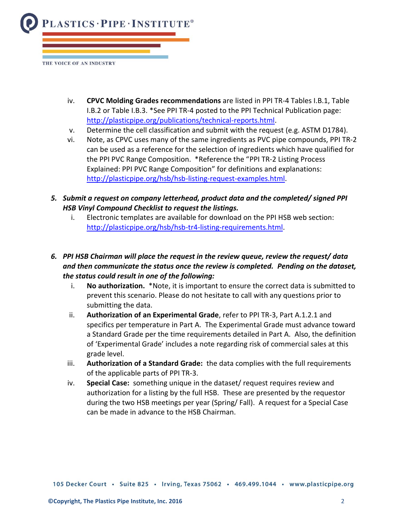

- iv. **CPVC Molding Grades recommendations** are listed in PPI TR-4 Tables I.B.1, Table I.B.2 or Table I.B.3. \*See PPI TR-4 posted to the PPI Technical Publication page: [http://plasticpipe.org/publications/technical-reports.html.](http://plasticpipe.org/publications/technical-reports.html)
- v. Determine the cell classification and submit with the request (e.g. ASTM D1784).
- vi. Note, as CPVC uses many of the same ingredients as PVC pipe compounds, PPI TR-2 can be used as a reference for the selection of ingredients which have qualified for the PPI PVC Range Composition. \*Reference the "PPI TR-2 Listing Process Explained: PPI PVC Range Composition" for definitions and explanations: [http://plasticpipe.org/hsb/hsb-listing-request-examples.html.](http://plasticpipe.org/hsb/hsb-listing-request-examples.html)
- *5. Submit a request on company letterhead, product data and the completed/ signed PPI HSB Vinyl Compound Checklist to request the listings.*
	- i. Electronic templates are available for download on the PPI HSB web section: [http://plasticpipe.org/hsb/hsb-tr4-listing-requirements.html.](http://plasticpipe.org/hsb/hsb-tr4-listing-requirements.html)

# *6. PPI HSB Chairman will place the request in the review queue, review the request/ data and then communicate the status once the review is completed. Pending on the dataset, the status could result in one of the following:*

- i. **No authorization.** \*Note, it is important to ensure the correct data is submitted to prevent this scenario. Please do not hesitate to call with any questions prior to submitting the data.
- ii. **Authorization of an Experimental Grade**, refer to PPI TR-3, Part A.1.2.1 and specifics per temperature in Part A. The Experimental Grade must advance toward a Standard Grade per the time requirements detailed in Part A. Also, the definition of 'Experimental Grade' includes a note regarding risk of commercial sales at this grade level.
- iii. **Authorization of a Standard Grade:** the data complies with the full requirements of the applicable parts of PPI TR-3.
- iv. **Special Case:** something unique in the dataset/ request requires review and authorization for a listing by the full HSB. These are presented by the requestor during the two HSB meetings per year (Spring/ Fall). A request for a Special Case can be made in advance to the HSB Chairman.

105 Decker Court · Suite 825 · Irving, Texas 75062 · 469.499.1044 · www.plasticpipe.org